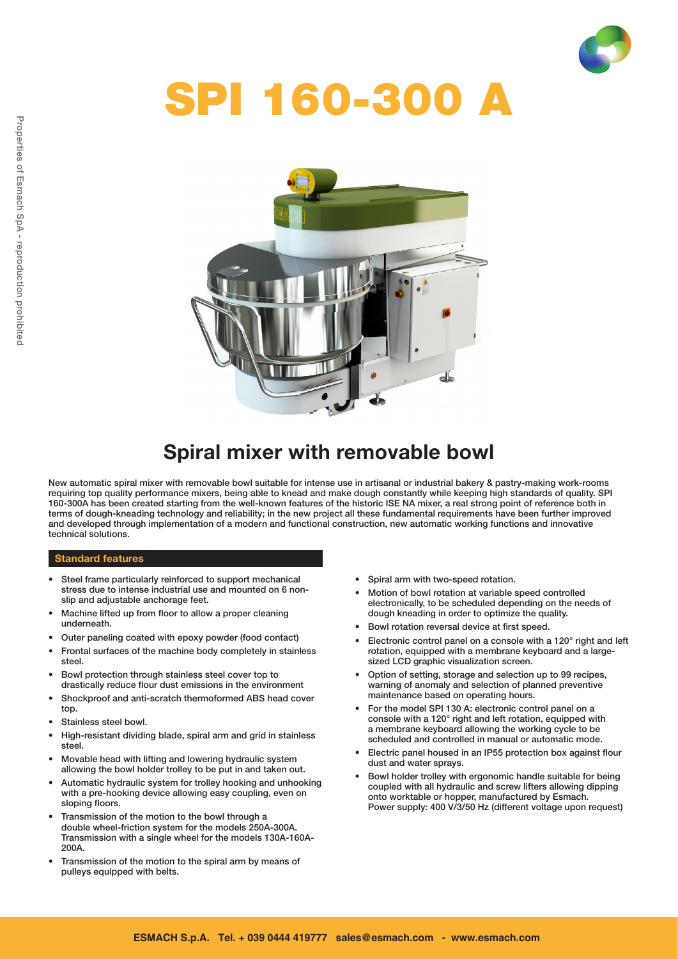

# SPI 160-300 A



# Spiral mixer with removable bowl

New automatic spiral mixer with removable bowl suitable for intense use in artisanal or industrial bakery & pastry-making work-rooms requiring top quality performance mixers, being able to knead and make dough constantly while keeping high standards of quality. SPI 160-300A has been created starting from the well-known features of the historic ISE NA mixer, a real strong point of reference both in terms of dough-kneading technology and reliability; in the new project all these fundamental requirements have been further improved and developed through implementation of a modern and functional construction, new automatic working functions and innovative technical solutions.

#### Standard features

- • Steel frame particularly reinforced to support mechanical stress due to intense industrial use and mounted on 6 nonslip and adjustable anchorage feet.
- Machine lifted up from floor to allow a proper cleaning underneath.
- • Outer paneling coated with epoxy powder (food contact)
- Frontal surfaces of the machine body completely in stainless steel.
- Bowl protection through stainless steel cover top to drastically reduce flour dust emissions in the environment
- Shockproof and anti-scratch thermoformed ABS head cover top.
- Stainless steel bowl.
- High-resistant dividing blade, spiral arm and grid in stainless steel.
- Movable head with lifting and lowering hydraulic system allowing the bowl holder trolley to be put in and taken out.
- Automatic hydraulic system for trolley hooking and unhooking with a pre-hooking device allowing easy coupling, even on sloping floors.
- Transmission of the motion to the bowl through a double wheel-friction system for the models 250A-300A. Transmission with a single wheel for the models 130A-160A-200A.
- Transmission of the motion to the spiral arm by means of pulleys equipped with belts.
- • Spiral arm with two-speed rotation.
- Motion of bowl rotation at variable speed controlled electronically, to be scheduled depending on the needs of dough kneading in order to optimize the quality.
- • Bowl rotation reversal device at first speed.
- Electronic control panel on a console with a 120° right and left rotation, equipped with a membrane keyboard and a largesized LCD graphic visualization screen.
- Option of setting, storage and selection up to 99 recipes, warning of anomaly and selection of planned preventive maintenance based on operating hours.
- For the model SPI 130 A: electronic control panel on a console with a 120° right and left rotation, equipped with a membrane keyboard allowing the working cycle to be scheduled and controlled in manual or automatic mode.
- Electric panel housed in an IP55 protection box against flour dust and water sprays.
- Bowl holder trolley with ergonomic handle suitable for being coupled with all hydraulic and screw lifters allowing dipping onto worktable or hopper, manufactured by Esmach. Power supply: 400 V/3/50 Hz (different voltage upon request)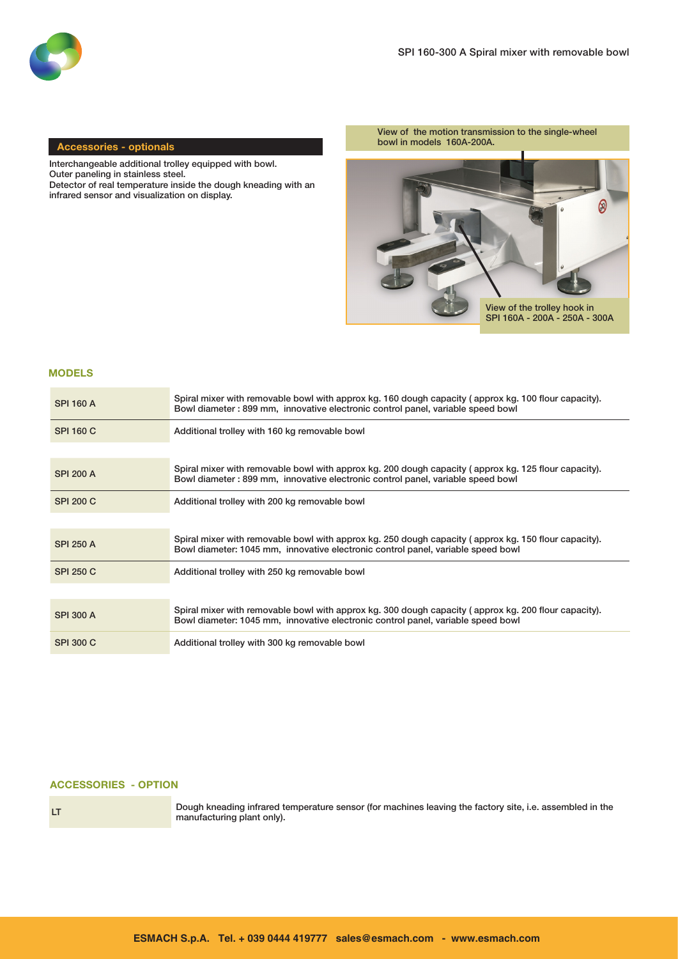

#### Accessories - optionals

Interchangeable additional trolley equipped with bowl. Outer paneling in stainless steel. Detector of real temperature inside the dough kneading with an infrared sensor and visualization on display.

View of the motion transmission to the single-wheel bowl in models 160A-200A.



#### MODELS

| <b>SPI 160 A</b> | Spiral mixer with removable bowl with approx kg. 160 dough capacity (approx kg. 100 flour capacity).<br>Bowl diameter: 899 mm, innovative electronic control panel, variable speed bowl  |
|------------------|------------------------------------------------------------------------------------------------------------------------------------------------------------------------------------------|
| <b>SPI 160 C</b> | Additional trolley with 160 kg removable bowl                                                                                                                                            |
|                  |                                                                                                                                                                                          |
| <b>SPI 200 A</b> | Spiral mixer with removable bowl with approx kg. 200 dough capacity (approx kg. 125 flour capacity).<br>Bowl diameter: 899 mm, innovative electronic control panel, variable speed bowl  |
| <b>SPI 200 C</b> | Additional trolley with 200 kg removable bowl                                                                                                                                            |
|                  |                                                                                                                                                                                          |
| <b>SPI 250 A</b> | Spiral mixer with removable bowl with approx kg. 250 dough capacity (approx kg. 150 flour capacity).<br>Bowl diameter: 1045 mm, innovative electronic control panel, variable speed bowl |
| <b>SPI 250 C</b> | Additional trolley with 250 kg removable bowl                                                                                                                                            |
|                  |                                                                                                                                                                                          |
| SPI 300 A        | Spiral mixer with removable bowl with approx kg. 300 dough capacity (approx kg. 200 flour capacity).<br>Bowl diameter: 1045 mm, innovative electronic control panel, variable speed bowl |
| <b>SPI 300 C</b> | Additional trolley with 300 kg removable bowl                                                                                                                                            |

#### ACCESSORIES - OPTION



LT Dough kneading infrared temperature sensor (for machines leaving the factory site, i.e. assembled in the manufacturing plant only).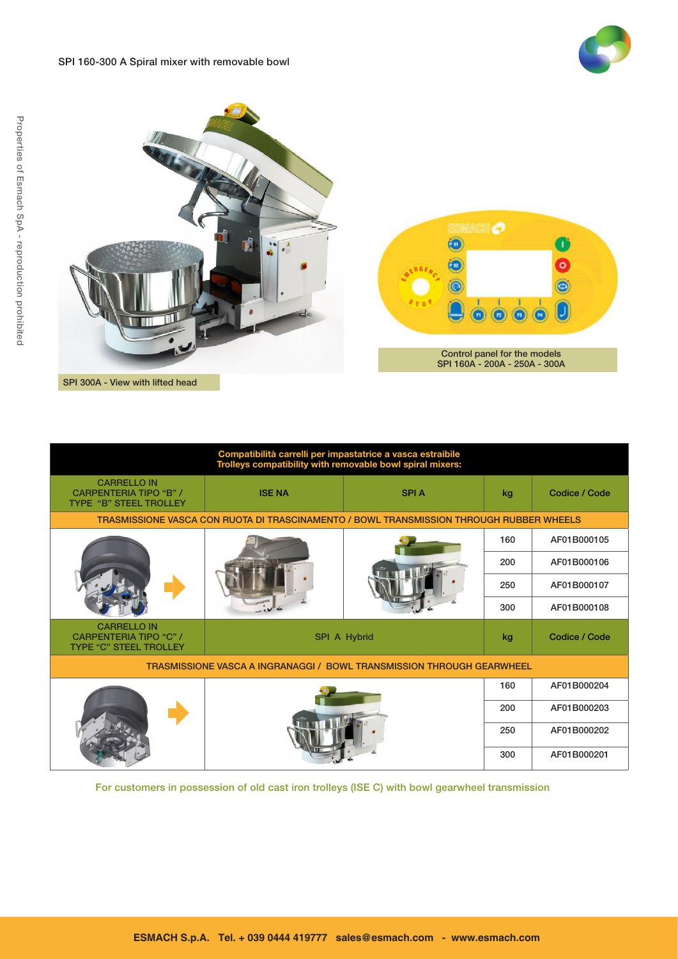





| Compatibilità carrelli per impastatrice a vasca estraibile<br>Trolleys compatibility with removable bowl spiral mixers: |                              |  |     |               |  |  |  |  |  |
|-------------------------------------------------------------------------------------------------------------------------|------------------------------|--|-----|---------------|--|--|--|--|--|
| <b>CARRELLO IN</b><br><b>CARPENTERIA TIPO "B" /</b><br><b>TYPE "B" STEEL TROLLEY</b>                                    | <b>ISE NA</b><br><b>SPIA</b> |  | kg  | Codice / Code |  |  |  |  |  |
| TRASMISSIONE VASCA CON RUOTA DI TRASCINAMENTO / BOWL TRANSMISSION THROUGH RUBBER WHEELS                                 |                              |  |     |               |  |  |  |  |  |
|                                                                                                                         |                              |  | 160 | AF01B000105   |  |  |  |  |  |
|                                                                                                                         |                              |  | 200 | AF01B000106   |  |  |  |  |  |
|                                                                                                                         |                              |  | 250 | AF01B000107   |  |  |  |  |  |
|                                                                                                                         |                              |  | 300 | AF01B000108   |  |  |  |  |  |
| <b>CARRELLO IN</b><br><b>CARPENTERIA TIPO "C" /</b><br>SPI A Hybrid<br><b>TYPE "C" STEEL TROLLEY</b>                    |                              |  | kg  | Codice / Code |  |  |  |  |  |
| TRASMISSIONE VASCA A INGRANAGGI / BOWL TRANSMISSION THROUGH GEARWHEEL                                                   |                              |  |     |               |  |  |  |  |  |
|                                                                                                                         |                              |  |     | AF01B000204   |  |  |  |  |  |
|                                                                                                                         |                              |  | 200 | AF01B000203   |  |  |  |  |  |
|                                                                                                                         |                              |  | 250 | AF01B000202   |  |  |  |  |  |
|                                                                                                                         |                              |  | 300 | AF01B000201   |  |  |  |  |  |

For customers in possession of old cast iron trolleys (ISE C) with bowl gearwheel transmission